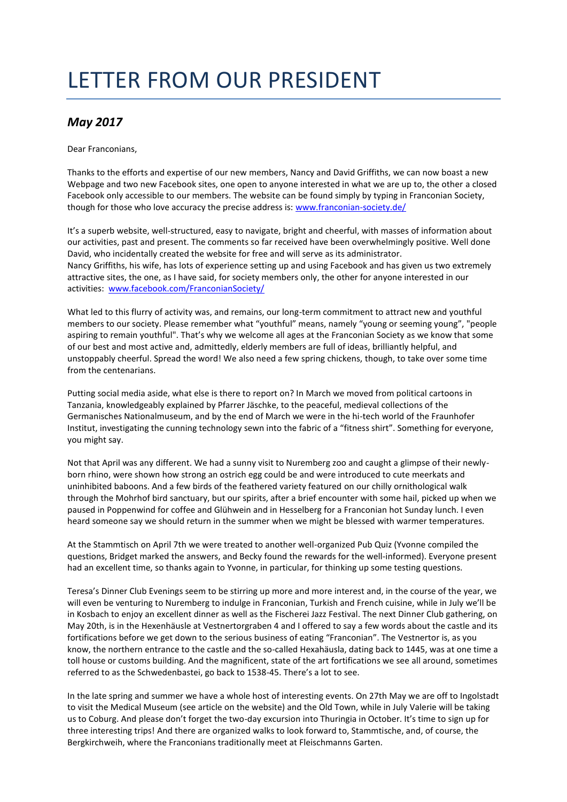## LETTER FROM OUR PRESIDENT

## *May 2017*

Dear Franconians,

Thanks to the efforts and expertise of our new members, Nancy and David Griffiths, we can now boast a new Webpage and two new Facebook sites, one open to anyone interested in what we are up to, the other a closed Facebook only accessible to our members. The website can be found simply by typing in Franconian Society, though for those who love accuracy the precise address is: [www.franconian-society.de/](http://www.franconian-society.de/)

It's a superb website, well-structured, easy to navigate, bright and cheerful, with masses of information about our activities, past and present. The comments so far received have been overwhelmingly positive. Well done David, who incidentally created the website for free and will serve as its administrator. Nancy Griffiths, his wife, has lots of experience setting up and using Facebook and has given us two extremely attractive sites, the one, as I have said, for society members only, the other for anyone interested in our activities: [www.facebook.com/FranconianSociety/](http://www.facebook.com/FranconianSociety/)

What led to this flurry of activity was, and remains, our long-term commitment to attract new and youthful members to our society. Please remember what "youthful" means, namely "young or seeming young", "people aspiring to remain youthful". That's why we welcome all ages at the Franconian Society as we know that some of our best and most active and, admittedly, elderly members are full of ideas, brilliantly helpful, and unstoppably cheerful. Spread the word! We also need a few spring chickens, though, to take over some time from the centenarians.

Putting social media aside, what else is there to report on? In March we moved from political cartoons in Tanzania, knowledgeably explained by Pfarrer Jäschke, to the peaceful, medieval collections of the Germanisches Nationalmuseum, and by the end of March we were in the hi-tech world of the Fraunhofer Institut, investigating the cunning technology sewn into the fabric of a "fitness shirt". Something for everyone, you might say.

Not that April was any different. We had a sunny visit to Nuremberg zoo and caught a glimpse of their newlyborn rhino, were shown how strong an ostrich egg could be and were introduced to cute meerkats and uninhibited baboons. And a few birds of the feathered variety featured on our chilly ornithological walk through the Mohrhof bird sanctuary, but our spirits, after a brief encounter with some hail, picked up when we paused in Poppenwind for coffee and Glühwein and in Hesselberg for a Franconian hot Sunday lunch. I even heard someone say we should return in the summer when we might be blessed with warmer temperatures.

At the Stammtisch on April 7th we were treated to another well-organized Pub Quiz (Yvonne compiled the questions, Bridget marked the answers, and Becky found the rewards for the well-informed). Everyone present had an excellent time, so thanks again to Yvonne, in particular, for thinking up some testing questions.

Teresa's Dinner Club Evenings seem to be stirring up more and more interest and, in the course of the year, we will even be venturing to Nuremberg to indulge in Franconian, Turkish and French cuisine, while in July we'll be in Kosbach to enjoy an excellent dinner as well as the Fischerei Jazz Festival. The next Dinner Club gathering, on May 20th, is in the Hexenhäusle at Vestnertorgraben 4 and I offered to say a few words about the castle and its fortifications before we get down to the serious business of eating "Franconian". The Vestnertor is, as you know, the northern entrance to the castle and the so-called Hexahäusla, dating back to 1445, was at one time a toll house or customs building. And the magnificent, state of the art fortifications we see all around, sometimes referred to as the Schwedenbastei, go back to 1538-45. There's a lot to see.

In the late spring and summer we have a whole host of interesting events. On 27th May we are off to Ingolstadt to visit the Medical Museum (see article on the website) and the Old Town, while in July Valerie will be taking us to Coburg. And please don't forget the two-day excursion into Thuringia in October. It's time to sign up for three interesting trips! And there are organized walks to look forward to, Stammtische, and, of course, the Bergkirchweih, where the Franconians traditionally meet at Fleischmanns Garten.